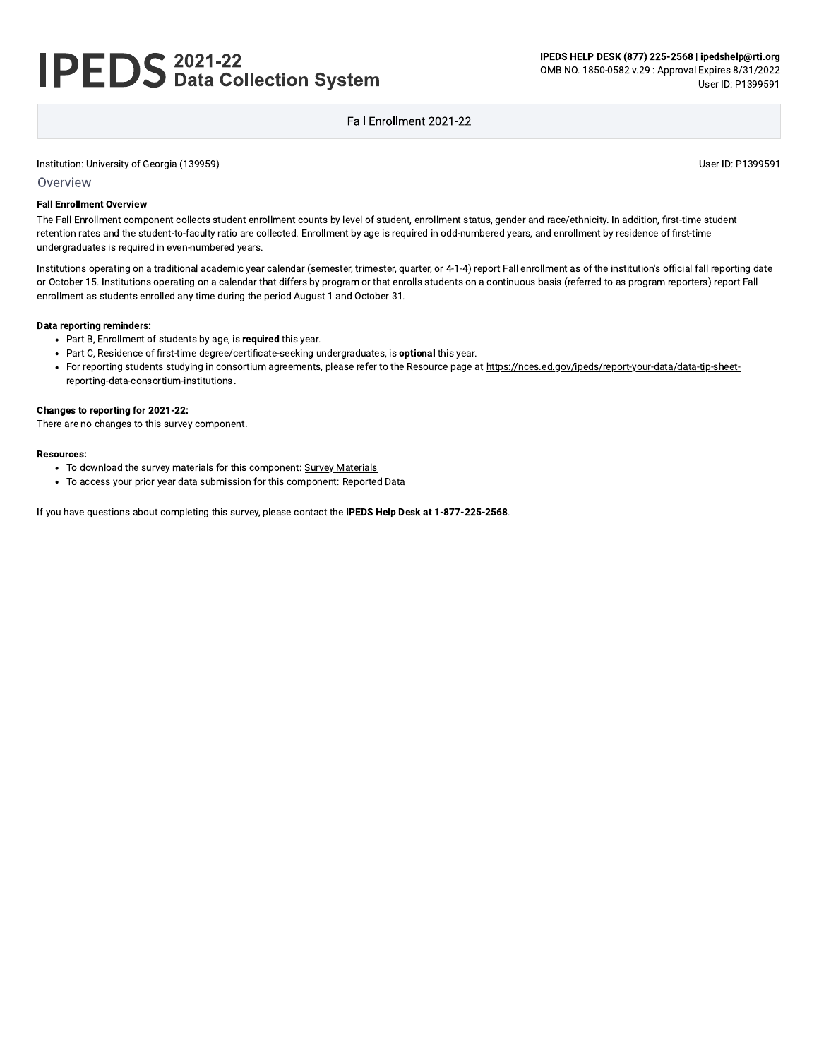# **IPEDS** 2021-22<br>**IPEDS** Data Collection System

IPEDS HELP DESK (877) 225-2568 | ipedshelp@rti.org OMB NO. 1850-0582 v.29 : Approval Expires 8/31/2022 User ID: P1399591

## Fall Fnrollment 2021-22

Institution: University of Georgia (139959)

User ID: P1399591

#### Overview

#### **Fall Enrollment Overview**

The Fall Enrollment component collects student enrollment counts by level of student, enrollment status, gender and race/ethnicity. In addition, first-time student retention rates and the student-to-faculty ratio are collected. Enrollment by age is required in odd-numbered years, and enrollment by residence of first-time undergraduates is required in even-numbered years.

Institutions operating on a traditional academic year calendar (semester, trimester, quarter, or 4-1-4) report Fall enrollment as of the institution's official fall reporting date or October 15. Institutions operating on a calendar that differs by program or that enrolls students on a continuous basis (referred to as program reporters) report Fall enrollment as students enrolled any time during the period August 1 and October 31.

#### **Data reporting reminders:**

- Part B, Enrollment of students by age, is required this year.
- Part C, Residence of first-time degree/certificate-seeking undergraduates, is optional this year.
- For reporting students studying in consortium agreements, please refer to the Resource page at https://nces.ed.gov/ipeds/report-your-data/data-tip-sheetreporting-data-consortium-institutions.

### Changes to reporting for 2021-22:

There are no changes to this survey component.

#### **Resources:**

- To download the survey materials for this component: Survey Materials
- To access your prior year data submission for this component: Reported Data

If you have questions about completing this survey, please contact the IPEDS Help Desk at 1-877-225-2568.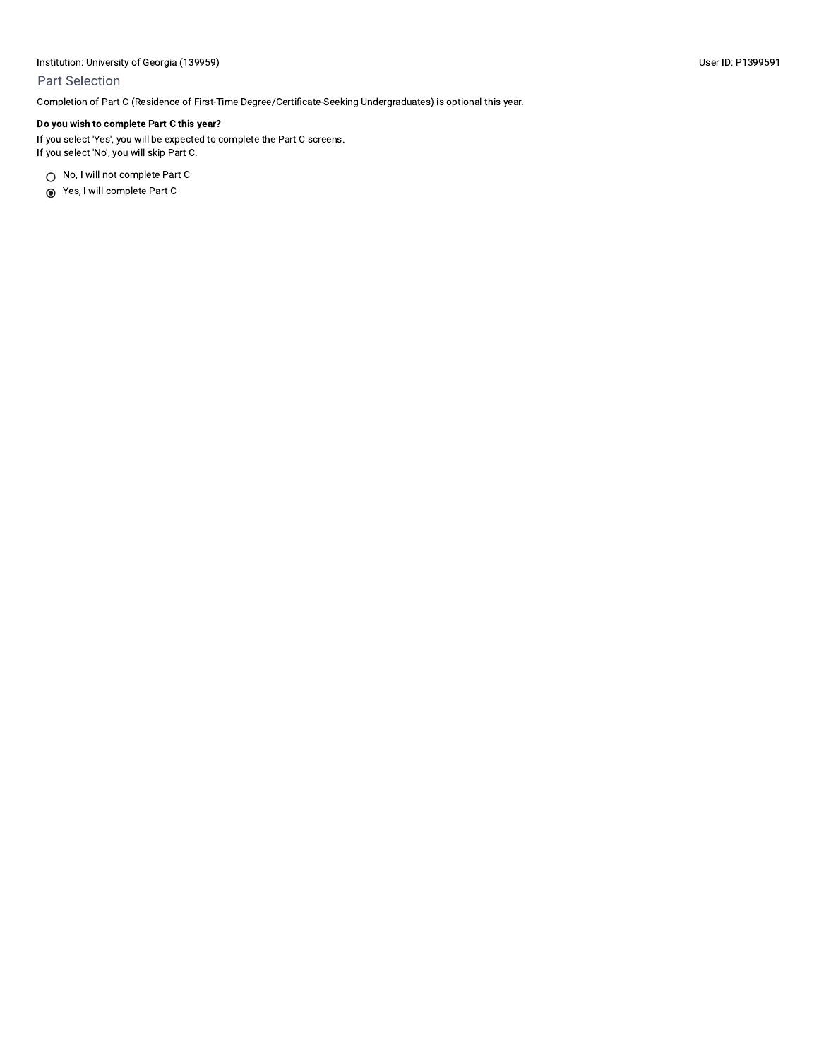## **Part Selection**

Completion of Part C (Residence of First-Time Degree/Certificate-Seeking Undergraduates) is optional this year.

## Do you wish to complete Part C this year?

If you select 'Yes', you will be expected to complete the Part C screens. If you select 'No', you will skip Part C.

○ No, I will not complete Part C

ses, I will complete Part C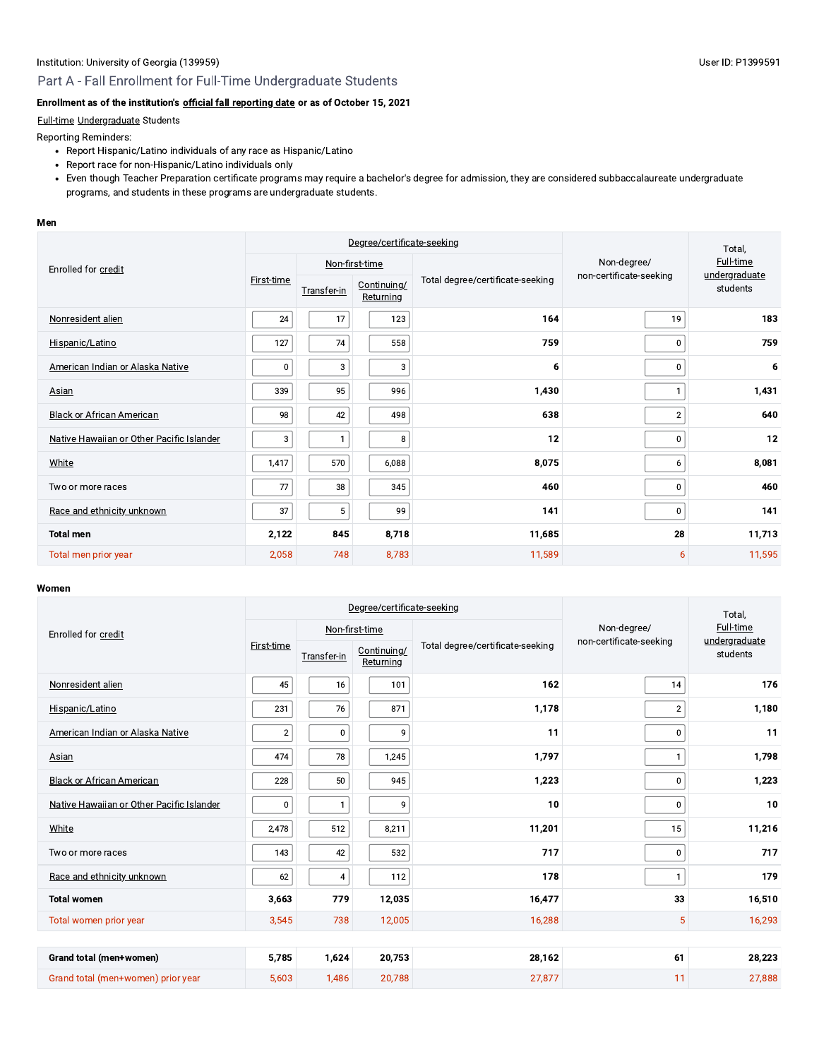#### User ID: P1399591

# Part A - Fall Enrollment for Full-Time Undergraduate Students

# Enrollment as of the institution's official fall reporting date or as of October 15, 2021

### Full-time Undergraduate Students

Reporting Reminders:

- Report Hispanic/Latino individuals of any race as Hispanic/Latino
- Report race for non-Hispanic/Latino individuals only
- Even though Teacher Preparation certificate programs may require a bachelor's degree for admission, they are considered subbaccalaureate undergraduate programs, and students in these programs are undergraduate students.

#### Men

|                                           | Degree/certificate-seeking |             |                          |                                  | Total,                  |                            |
|-------------------------------------------|----------------------------|-------------|--------------------------|----------------------------------|-------------------------|----------------------------|
| Enrolled for credit                       |                            |             | Non-first-time           |                                  | Non-degree/             | Full-time<br>undergraduate |
|                                           | <b>First-time</b>          | Transfer-in | Continuing/<br>Returning | Total degree/certificate-seeking | non-certificate-seeking | students                   |
| Nonresident alien                         | 24                         | 17          | 123                      | 164                              | 19                      | 183                        |
| Hispanic/Latino                           | 127                        | 74          | 558                      | 759                              | 0                       | 759                        |
| American Indian or Alaska Native          | 0                          | 3           | 3                        | 6                                | $\mathbf 0$             | 6                          |
| Asian                                     | 339                        | 95          | 996                      | 1,430                            |                         | 1,431                      |
| <b>Black or African American</b>          | 98                         | 42          | 498                      | 638                              | $\overline{2}$          | 640                        |
| Native Hawaiian or Other Pacific Islander | 3                          | 1           | 8                        | 12                               | $\mathbf 0$             | 12                         |
| White                                     | 1,417                      | 570         | 6,088                    | 8,075                            | 6                       | 8,081                      |
| Two or more races                         | 77                         | 38          | 345                      | 460                              | $\mathbf 0$             | 460                        |
| Race and ethnicity unknown                | 37                         | 5           | 99                       | 141                              | 0                       | 141                        |
| <b>Total men</b>                          | 2,122                      | 845         | 8,718                    | 11,685                           | 28                      | 11,713                     |
| Total men prior year                      | 2,058                      | 748         | 8,783                    | 11,589                           | 6                       | 11,595                     |

|                                           | Degree/certificate-seeking |                |                          |                                  |                         | Total,                    |  |
|-------------------------------------------|----------------------------|----------------|--------------------------|----------------------------------|-------------------------|---------------------------|--|
| Enrolled for credit                       |                            |                | Non-first-time           |                                  | Non-degree/             | Full-time                 |  |
|                                           | First-time                 | Transfer-in    | Continuing/<br>Returning | Total degree/certificate-seeking | non-certificate-seeking | undergraduate<br>students |  |
| Nonresident alien                         | 45                         | 16             | 101                      | 162                              | 14                      | 176                       |  |
| Hispanic/Latino                           | 231                        | 76             | 871                      | 1,178                            | $\overline{2}$          | 1,180                     |  |
| American Indian or Alaska Native          | $\sqrt{2}$                 | $\mathbf 0$    | 9                        | 11                               | 0                       | 11                        |  |
| Asian                                     | 474                        | 78             | 1,245                    | 1.797                            | $\mathbf{1}$            | 1,798                     |  |
| <b>Black or African American</b>          | 228                        | 50             | 945                      | 1,223                            | 0                       | 1,223                     |  |
| Native Hawaiian or Other Pacific Islander | 0                          | $\mathbf{1}$   | 9                        | 10                               | 0                       | 10                        |  |
| White                                     | 2,478                      | 512            | 8,211                    | 11,201                           | 15                      | 11,216                    |  |
| Two or more races                         | 143                        | 42             | 532                      | 717                              | 0                       | 717                       |  |
| Race and ethnicity unknown                | 62                         | $\overline{4}$ | 112                      | 178                              | $\mathbf{1}$            | 179                       |  |
| <b>Total women</b>                        | 3,663                      | 779            | 12,035                   | 16,477                           | 33                      | 16,510                    |  |
| Total women prior year                    | 3,545                      | 738            | 12,005                   | 16,288                           | 5                       | 16,293                    |  |
|                                           |                            |                |                          |                                  |                         |                           |  |
| Grand total (men+women)                   | 5,785                      | 1.624          | 20,753                   | 28,162                           | 61                      | 28,223                    |  |
| Grand total (men+women) prior year        | 5,603                      | 1,486          | 20,788                   | 27,877                           | 11                      | 27,888                    |  |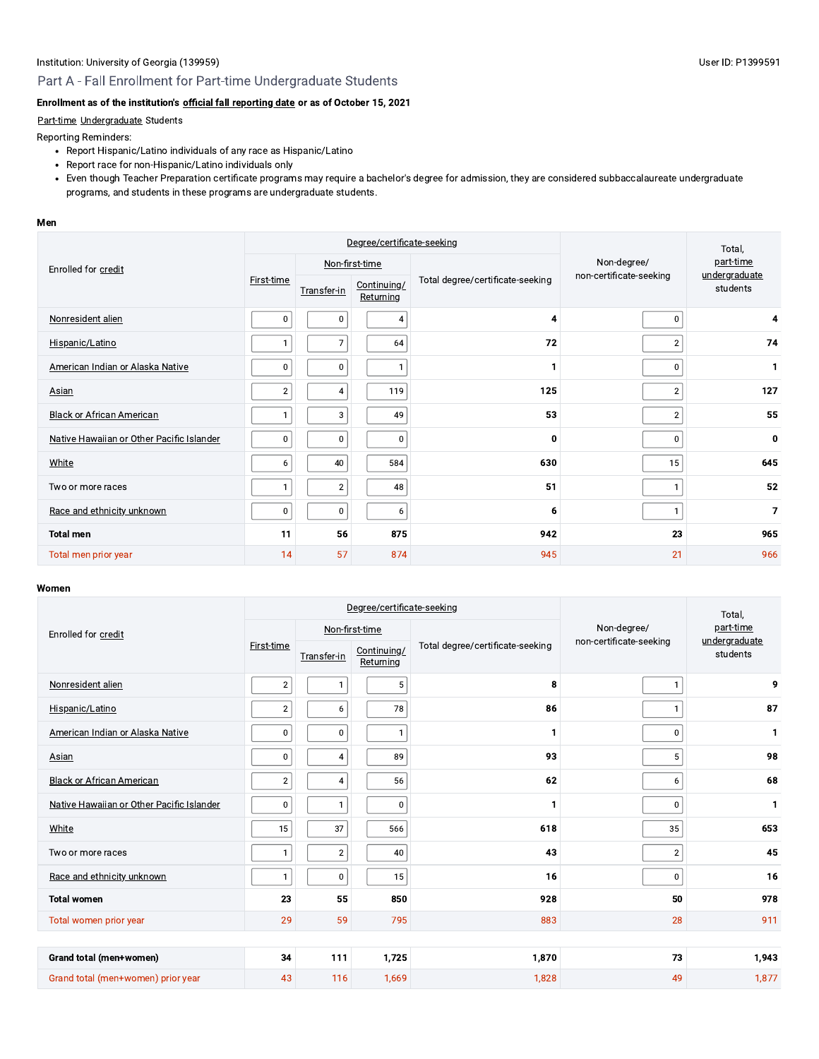# Part A - Fall Enrollment for Part-time Undergraduate Students

# Enrollment as of the institution's official fall reporting date or as of October 15, 2021

#### Part-time Undergraduate Students

Reporting Reminders:

- Report Hispanic/Latino individuals of any race as Hispanic/Latino
- Report race for non-Hispanic/Latino individuals only
- Even though Teacher Preparation certificate programs may require a bachelor's degree for admission, they are considered subbaccalaureate undergraduate programs, and students in these programs are undergraduate students.

#### Men

|                                           | Degree/certificate-seeking |                |                          |                                  |                                        | Total,                     |  |
|-------------------------------------------|----------------------------|----------------|--------------------------|----------------------------------|----------------------------------------|----------------------------|--|
| Enrolled for credit                       |                            |                | Non-first-time           |                                  | Non-degree/<br>non-certificate-seeking | part-time<br>undergraduate |  |
|                                           | First-time                 | Transfer-in    | Continuing/<br>Returning | Total degree/certificate-seeking |                                        | students                   |  |
| Nonresident alien                         | 0                          | $\bf{0}$       | $\overline{4}$           | 4                                | $\mathbf 0$                            | 4                          |  |
| Hispanic/Latino                           | $\mathbf{1}$               | $\overline{7}$ | 64                       | 72                               | $\overline{2}$                         | 74                         |  |
| American Indian or Alaska Native          | 0                          | 0              |                          | 1                                | $\bf{0}$                               | 1                          |  |
| Asian                                     | $\overline{2}$             | $\overline{4}$ | 119                      | 125                              | $\overline{2}$                         | 127                        |  |
| <b>Black or African American</b>          | 1                          | 3              | 49                       | 53                               | $\overline{2}$                         | 55                         |  |
| Native Hawaiian or Other Pacific Islander | 0                          | $\bf{0}$       | 0                        | 0                                | $\mathbf 0$                            | $\mathbf 0$                |  |
| White                                     | 6                          | 40             | 584                      | 630                              | 15                                     | 645                        |  |
| Two or more races                         |                            | $\overline{2}$ | 48                       | 51                               | 1                                      | 52                         |  |
| Race and ethnicity unknown                | 0                          | 0              | 6                        | 6                                | $\mathbf{1}$                           | 7                          |  |
| <b>Total men</b>                          | 11                         | 56             | 875                      | 942                              | 23                                     | 965                        |  |
| Total men prior year                      | 14                         | 57             | 874                      | 945                              | 21                                     | 966                        |  |

|                                           | Degree/certificate-seeking |              |                          |                                  |                                        | Total,                     |  |
|-------------------------------------------|----------------------------|--------------|--------------------------|----------------------------------|----------------------------------------|----------------------------|--|
| Enrolled for credit                       |                            |              | Non-first-time           |                                  | Non-degree/<br>non-certificate-seeking | part-time<br>undergraduate |  |
|                                           | First-time                 | Transfer-in  | Continuing/<br>Returning | Total degree/certificate-seeking |                                        | students                   |  |
| Nonresident alien                         | $\overline{2}$             | $\mathbf{1}$ | $\sqrt{5}$               | 8                                | $\mathbf{1}$                           | 9                          |  |
| Hispanic/Latino                           | $\mathbf{2}$               | $\bf 6$      | 78                       | 86                               | 1                                      | 87                         |  |
| American Indian or Alaska Native          | $\mathbf 0$                | $\pmb{0}$    | $\mathbf{1}$             | 1                                | 0                                      | 1                          |  |
| <b>Asian</b>                              | $\mathbf 0$                | $\pmb{4}$    | 89                       | 93                               | 5                                      | 98                         |  |
| <b>Black or African American</b>          | $\overline{\mathbf{c}}$    | $\pmb{4}$    | 56                       | 62                               | 6                                      | 68                         |  |
| Native Hawaiian or Other Pacific Islander | 0                          | $\mathbf{1}$ | $\pmb{0}$                | 1                                | 0                                      | $\mathbf{1}$               |  |
| White                                     | 15                         | 37           | 566                      | 618                              | 35                                     | 653                        |  |
| Two or more races                         | $\mathbf{1}$               | $\mathbf 2$  | 40                       | 43                               | $\overline{c}$                         | 45                         |  |
| Race and ethnicity unknown                | 1                          | $\pmb{0}$    | 15                       | 16                               | 0                                      | 16                         |  |
| <b>Total women</b>                        | 23                         | 55           | 850                      | 928                              | 50                                     | 978                        |  |
| Total women prior year                    | 29                         | 59           | 795                      | 883                              | 28                                     | 911                        |  |
|                                           |                            |              |                          |                                  |                                        |                            |  |
| Grand total (men+women)                   | 34                         | 111          | 1,725                    | 1,870                            | 73                                     | 1,943                      |  |
| Grand total (men+women) prior year        | 43                         | 116          | 1,669                    | 1,828                            | 49                                     | 1,877                      |  |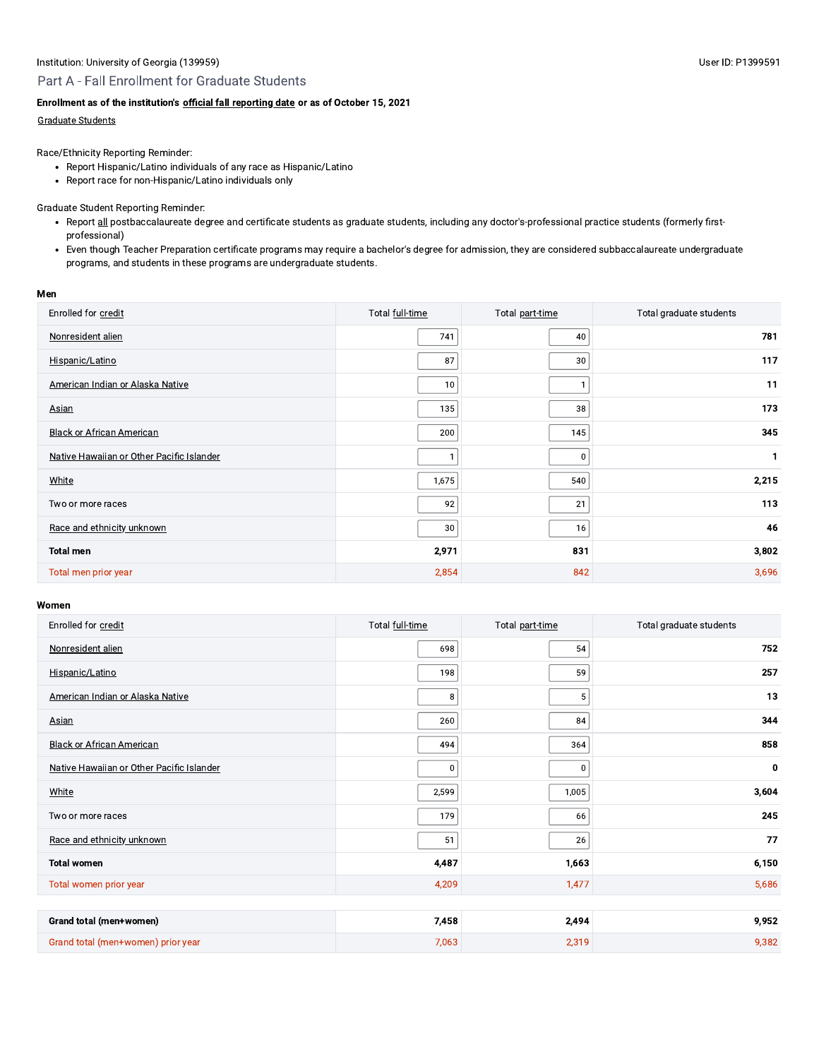# Part A - Fall Enrollment for Graduate Students

## Enrollment as of the institution's official fall reporting date or as of October 15, 2021

#### **Graduate Students**

Race/Ethnicity Reporting Reminder:

- Report Hispanic/Latino individuals of any race as Hispanic/Latino
- Report race for non-Hispanic/Latino individuals only

#### **Graduate Student Reporting Reminder:**

- Report all postbaccalaureate degree and certificate students as graduate students, including any doctor's-professional practice students (formerly firstprofessional)
- Even though Teacher Preparation certificate programs may require a bachelor's degree for admission, they are considered subbaccalaureate undergraduate programs, and students in these programs are undergraduate students.

#### Men

| Enrolled for credit                       | Total full-time | Total part-time | Total graduate students |
|-------------------------------------------|-----------------|-----------------|-------------------------|
| Nonresident alien                         | 741             | 40              | 781                     |
| Hispanic/Latino                           | 87              | 30              | 117                     |
| American Indian or Alaska Native          | 10              |                 | 11                      |
| Asian                                     | 135             | 38              | 173                     |
| <b>Black or African American</b>          | 200             | 145             | 345                     |
| Native Hawaiian or Other Pacific Islander |                 | 0               | 1                       |
| White                                     | 1,675           | 540             | 2,215                   |
| Two or more races                         | 92              | 21              | 113                     |
| Race and ethnicity unknown                | 30              | 16              | 46                      |
| <b>Total men</b>                          | 2,971           | 831             | 3,802                   |
| Total men prior year                      | 2,854           | 842             | 3,696                   |

| Enrolled for credit                       | Total full-time | Total part-time | Total graduate students |
|-------------------------------------------|-----------------|-----------------|-------------------------|
| Nonresident alien                         | 698             | 54              | 752                     |
| Hispanic/Latino                           | 198             | 59              | 257                     |
| American Indian or Alaska Native          | 8               | $\overline{5}$  | 13                      |
| Asian                                     | 260             | 84              | 344                     |
| <b>Black or African American</b>          | 494             | 364             | 858                     |
| Native Hawaiian or Other Pacific Islander | $\pmb{0}$       | $\mathbf 0$     | 0                       |
| White                                     | 2,599           | 1,005           | 3,604                   |
| Two or more races                         | 179             | 66              | 245                     |
| Race and ethnicity unknown                | 51              | 26              | 77                      |
| <b>Total women</b>                        | 4,487           | 1,663           | 6,150                   |
| Total women prior year                    | 4,209           | 1,477           | 5,686                   |
|                                           |                 |                 |                         |
| Grand total (men+women)                   | 7,458           | 2,494           | 9,952                   |
| Grand total (men+women) prior year        | 7,063           | 2,319           | 9,382                   |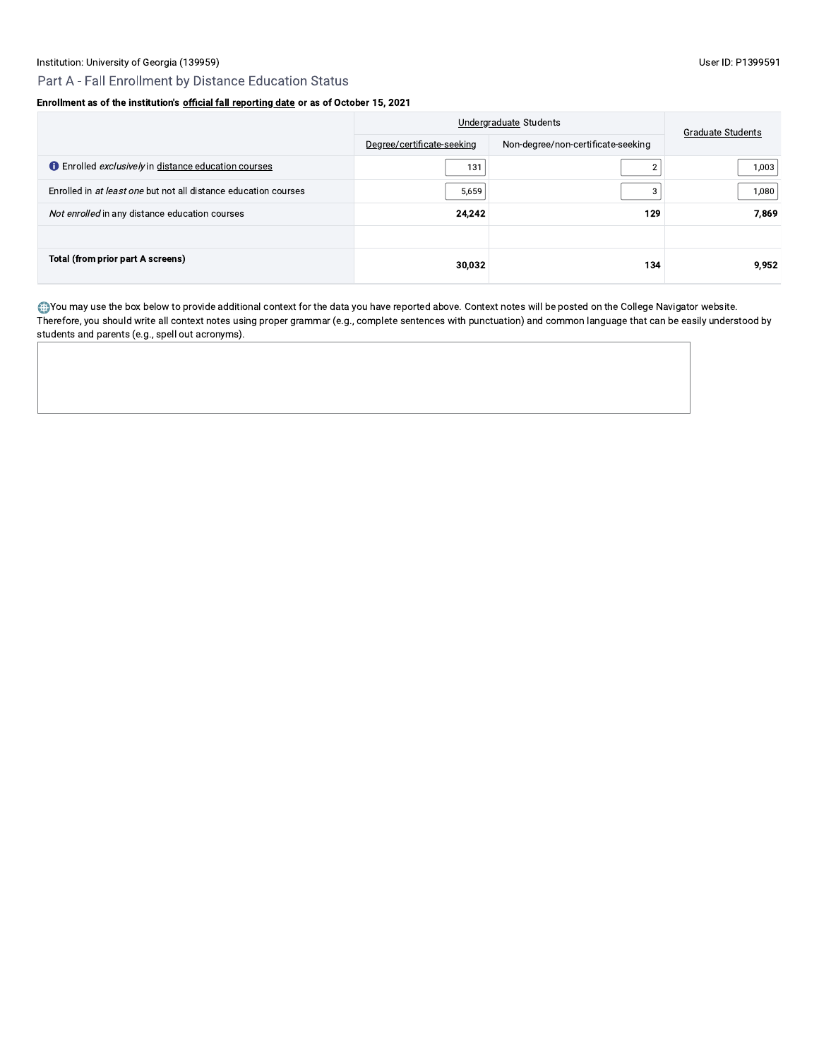# Enrollment as of the institution's official fall reporting date or as of October 15, 2021

|                                                                    | Undergraduate Students     | <b>Graduate Students</b>           |       |
|--------------------------------------------------------------------|----------------------------|------------------------------------|-------|
|                                                                    | Degree/certificate-seeking | Non-degree/non-certificate-seeking |       |
| <b>C</b> Enrolled <i>exclusively</i> in distance education courses | 131                        | っ                                  | 1,003 |
| Enrolled in at least one but not all distance education courses    | 5,659                      | 3                                  | 1,080 |
| Not enrolled in any distance education courses                     | 24,242                     | 129                                | 7.869 |
|                                                                    |                            |                                    |       |
| Total (from prior part A screens)                                  | 30,032                     | 134                                | 9.952 |

. You may use the box below to provide additional context for the data you have reported above. Context notes will be posted on the College Navigator website. Therefore, you should write all context notes using proper grammar (e.g., complete sentences with punctuation) and common language that can be easily understood by students and parents (e.g., spell out acronyms).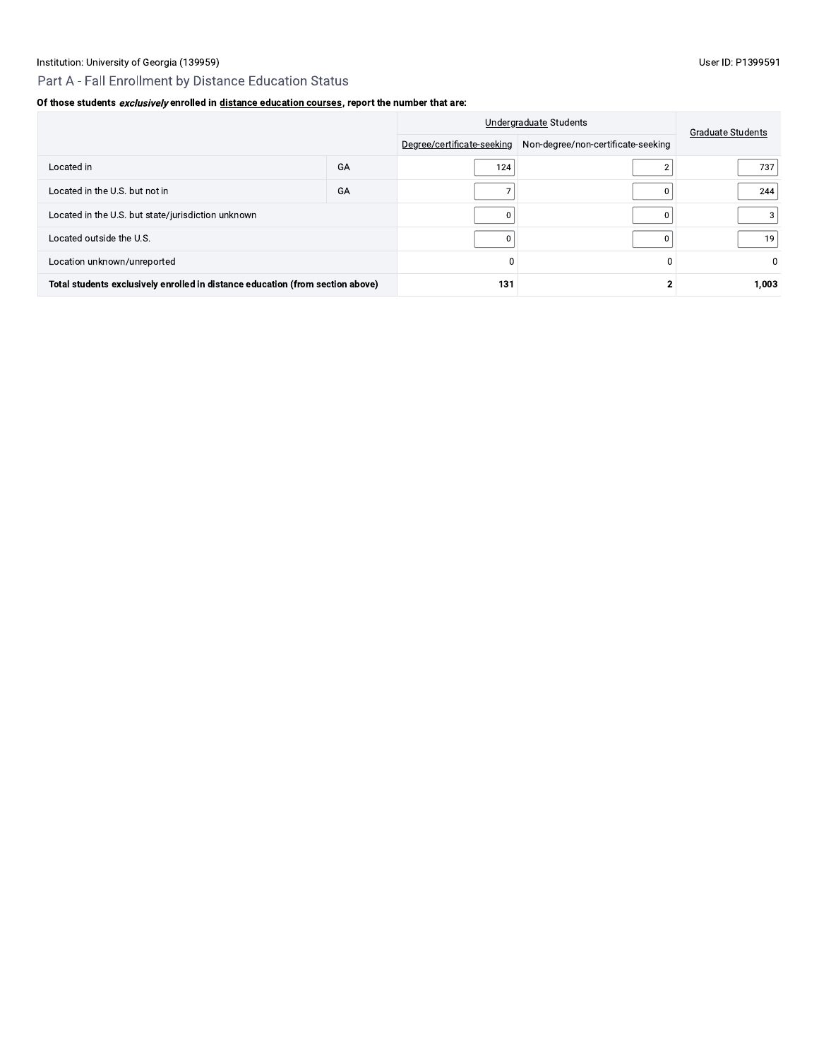# Part A - Fall Enrollment by Distance Education Status

# Of those students exclusively enrolled in distance education courses, report the number that are:

|                                                                                |    |                            | Undergraduate Students             |                          |  |
|--------------------------------------------------------------------------------|----|----------------------------|------------------------------------|--------------------------|--|
|                                                                                |    | Degree/certificate-seeking | Non-degree/non-certificate-seeking | <b>Graduate Students</b> |  |
| Located in                                                                     | GA | 124                        |                                    | 737                      |  |
| Located in the U.S. but not in                                                 | GA |                            |                                    | 244                      |  |
| Located in the U.S. but state/jurisdiction unknown                             |    |                            |                                    | 3                        |  |
| Located outside the U.S.                                                       |    |                            |                                    | 19                       |  |
| Location unknown/unreported                                                    |    | $\Omega$                   |                                    | 0                        |  |
| Total students exclusively enrolled in distance education (from section above) |    | 131                        |                                    | 1,003                    |  |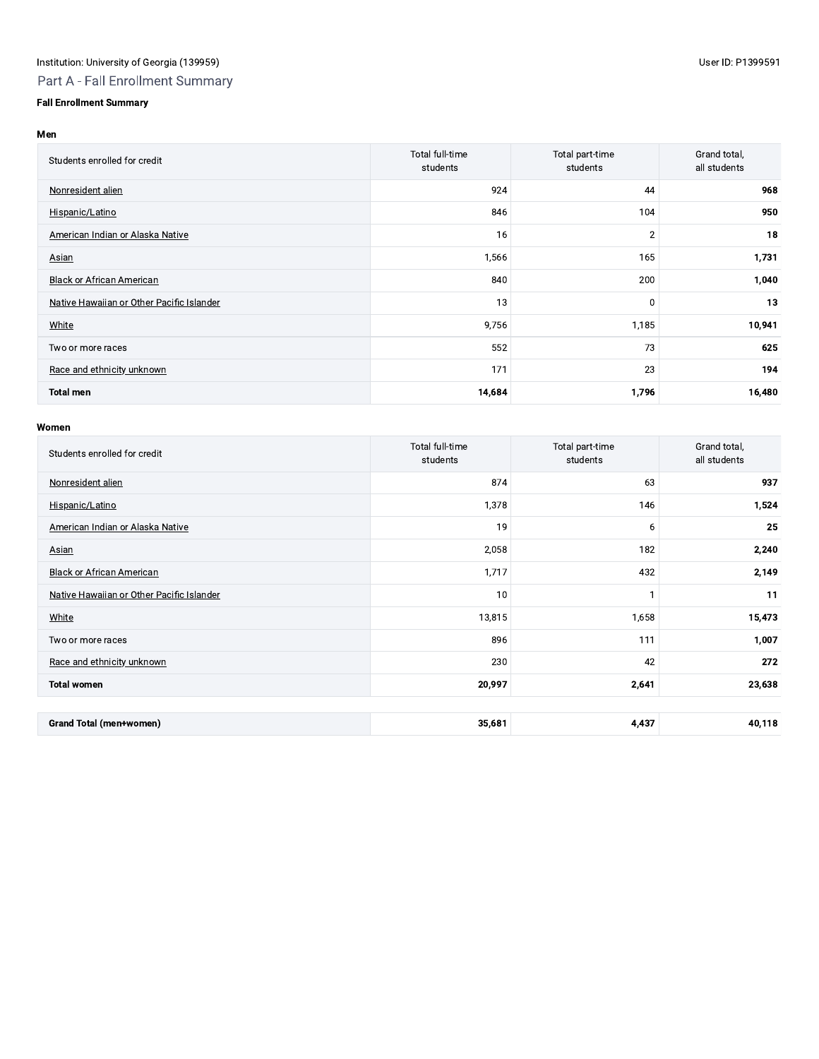# **Fall Enrollment Summary**

#### Men

| Students enrolled for credit              | Total full-time<br>students | Total part-time<br>students | Grand total,<br>all students |
|-------------------------------------------|-----------------------------|-----------------------------|------------------------------|
| Nonresident alien                         | 924                         | 44                          | 968                          |
| Hispanic/Latino                           | 846                         | 104                         | 950                          |
| American Indian or Alaska Native          | 16                          | $\overline{2}$              | 18                           |
| <b>Asian</b>                              | 1,566                       | 165                         | 1,731                        |
| <b>Black or African American</b>          | 840                         | 200                         | 1,040                        |
| Native Hawaiian or Other Pacific Islander | 13                          | 0                           | 13                           |
| White                                     | 9,756                       | 1,185                       | 10,941                       |
| Two or more races                         | 552                         | 73                          | 625                          |
| Race and ethnicity unknown                | 171                         | 23                          | 194                          |
| <b>Total men</b>                          | 14,684                      | 1,796                       | 16,480                       |

| Students enrolled for credit              | <b>Total full-time</b><br>students | Total part-time<br>students | Grand total,<br>all students |
|-------------------------------------------|------------------------------------|-----------------------------|------------------------------|
| Nonresident alien                         | 874                                | 63                          | 937                          |
| Hispanic/Latino                           | 1,378                              | 146                         | 1,524                        |
| American Indian or Alaska Native          | 19                                 | 6                           | 25                           |
| Asian                                     | 2,058                              | 182                         | 2,240                        |
| <b>Black or African American</b>          | 1,717                              | 432                         | 2,149                        |
| Native Hawaiian or Other Pacific Islander | 10                                 |                             | 11                           |
| White                                     | 13,815                             | 1,658                       | 15,473                       |
| Two or more races                         | 896                                | 111                         | 1,007                        |
| Race and ethnicity unknown                | 230                                | 42                          | 272                          |
| <b>Total women</b>                        | 20,997                             | 2,641                       | 23,638                       |
|                                           |                                    |                             |                              |
| <b>Grand Total (men+women)</b>            | 35,681                             | 4,437                       | 40,118                       |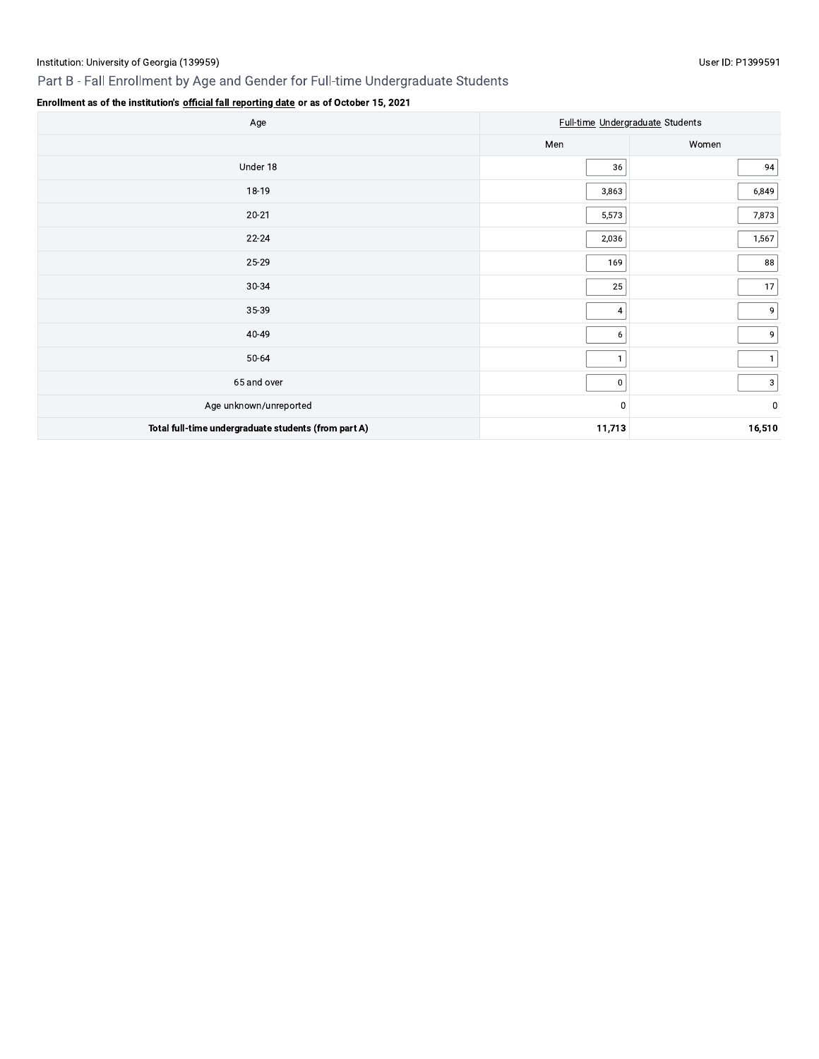# Part B - Fall Enrollment by Age and Gender for Full-time Undergraduate Students

## User ID: P1399591

| Age                                                  | Full-time Undergraduate Students |                         |
|------------------------------------------------------|----------------------------------|-------------------------|
|                                                      | Men                              | Women                   |
| Under 18                                             | 36                               | 94                      |
| 18-19                                                | 3,863                            | 6,849                   |
| $20 - 21$                                            | 5,573                            | 7,873                   |
| $22 - 24$                                            | 2,036                            | 1,567                   |
| 25-29                                                | 169                              | 88                      |
| 30-34                                                | 25                               | 17                      |
| 35-39                                                | $\overline{\mathbf{4}}$          | 9                       |
| 40-49                                                | 6                                | 9                       |
| 50-64                                                | $\mathbf{1}$                     | $\mathbf{1}$            |
| 65 and over                                          | $\pmb{0}$                        | $\vert$ 3               |
| Age unknown/unreported                               | $\mathbf 0$                      | $\overline{\mathbf{0}}$ |
| Total full-time undergraduate students (from part A) | 11,713                           | 16,510                  |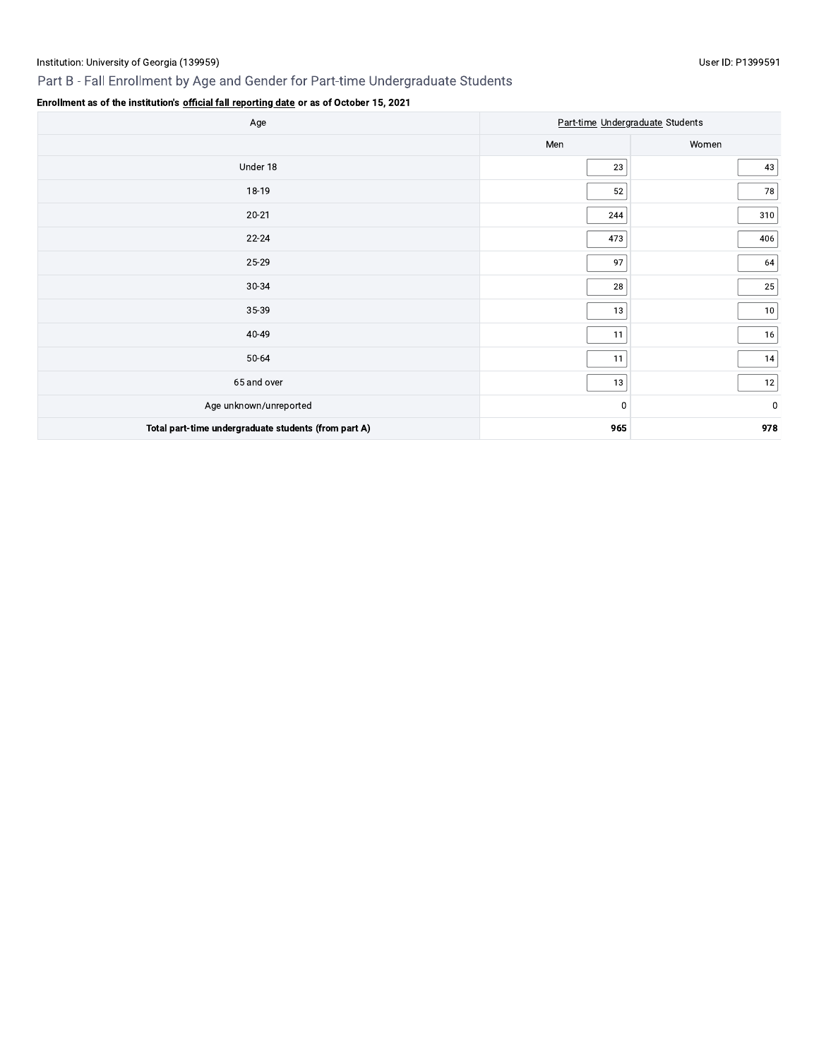# Part B - Fall Enrollment by Age and Gender for Part-time Undergraduate Students

| Age                                                  | Part-time Undergraduate Students |             |  |
|------------------------------------------------------|----------------------------------|-------------|--|
|                                                      | Men                              | Women       |  |
| Under 18                                             | 23                               | 43          |  |
| 18-19                                                | 52                               | 78          |  |
| $20 - 21$                                            | 244                              | 310         |  |
| $22 - 24$                                            | 473                              | 406         |  |
| 25-29                                                | 97                               | 64          |  |
| 30-34                                                | 28                               | 25          |  |
| 35-39                                                | 13                               | 10          |  |
| 40-49                                                | 11                               | 16          |  |
| 50-64                                                | 11                               | 14          |  |
| 65 and over                                          | 13                               | 12          |  |
| Age unknown/unreported                               | 0                                | $\mathbf 0$ |  |
| Total part-time undergraduate students (from part A) | 965                              | 978         |  |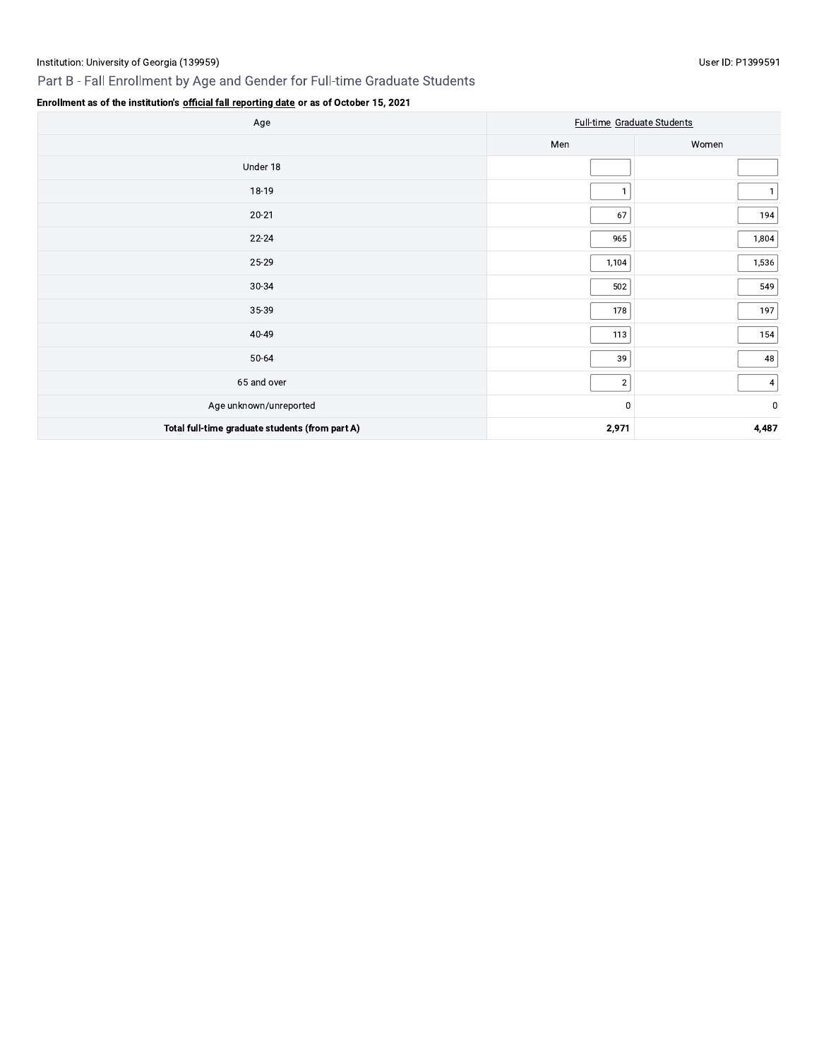# Part B - Fall Enrollment by Age and Gender for Full-time Graduate Students

## User ID: P1399591

| Age                                             | <b>Full-time Graduate Students</b> |             |
|-------------------------------------------------|------------------------------------|-------------|
|                                                 | Men                                | Women       |
| Under 18                                        |                                    |             |
| 18-19                                           |                                    |             |
| $20 - 21$                                       | 67                                 | 194         |
| $22 - 24$                                       | 965                                | 1,804       |
| 25-29                                           | 1,104                              | 1,536       |
| 30-34                                           | 502                                | 549         |
| 35-39                                           | 178                                | 197         |
| 40-49                                           | 113                                | 154         |
| 50-64                                           | 39                                 | 48          |
| 65 and over                                     | $2\vert$                           | $\vert$ 4   |
| Age unknown/unreported                          | 0                                  | $\mathbf 0$ |
| Total full-time graduate students (from part A) | 2,971                              | 4,487       |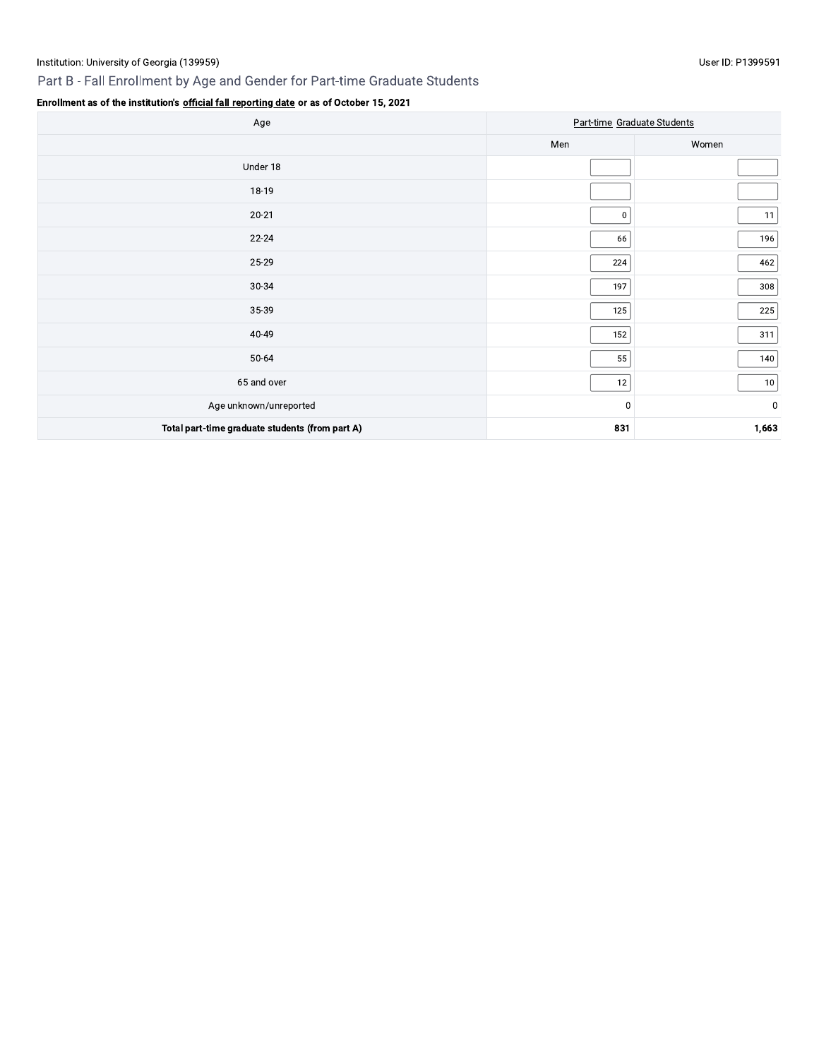# Part B - Fall Enrollment by Age and Gender for Part-time Graduate Students

| Age                                             | Part-time Graduate Students |             |
|-------------------------------------------------|-----------------------------|-------------|
|                                                 | Men                         | Women       |
| Under 18                                        |                             |             |
| 18-19                                           |                             |             |
| $20 - 21$                                       | $\mathbf{0}$                | 11          |
| $22 - 24$                                       | 66                          | 196         |
| 25-29                                           | 224                         | 462         |
| 30-34                                           | 197                         | 308         |
| 35-39                                           | 125                         | 225         |
| 40-49                                           | 152                         | 311         |
| 50-64                                           | 55                          | 140         |
| 65 and over                                     | 12                          | 10          |
| Age unknown/unreported                          | 0                           | $\mathbf 0$ |
| Total part-time graduate students (from part A) | 831                         | 1,663       |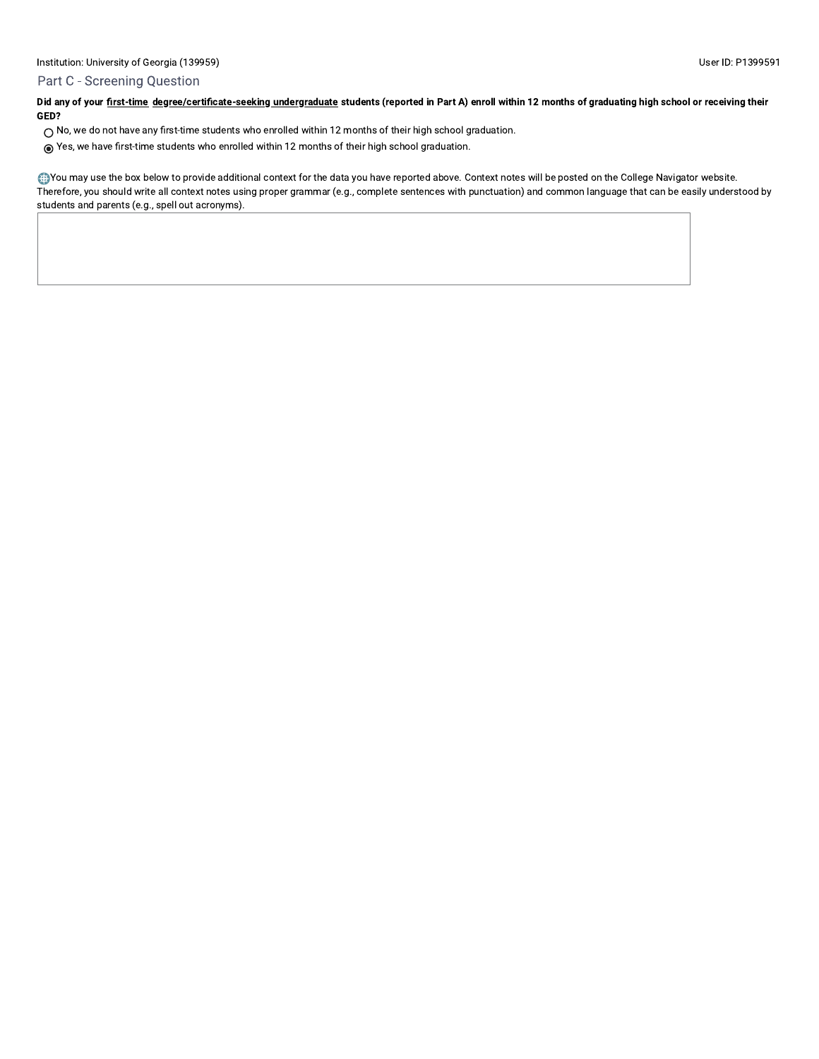## Part C - Screening Question

Did any of your first-time degree/certificate-seeking undergraduate students (reported in Part A) enroll within 12 months of graduating high school or receiving their GED?

- $\bigcirc$  No, we do not have any first-time students who enrolled within 12 months of their high school graduation.
- ⊙ Yes, we have first-time students who enrolled within 12 months of their high school graduation.

. You may use the box below to provide additional context for the data you have reported above. Context notes will be posted on the College Navigator website. Therefore, you should write all context notes using proper grammar (e.g., complete sentences with punctuation) and common language that can be easily understood by students and parents (e.g., spell out acronyms).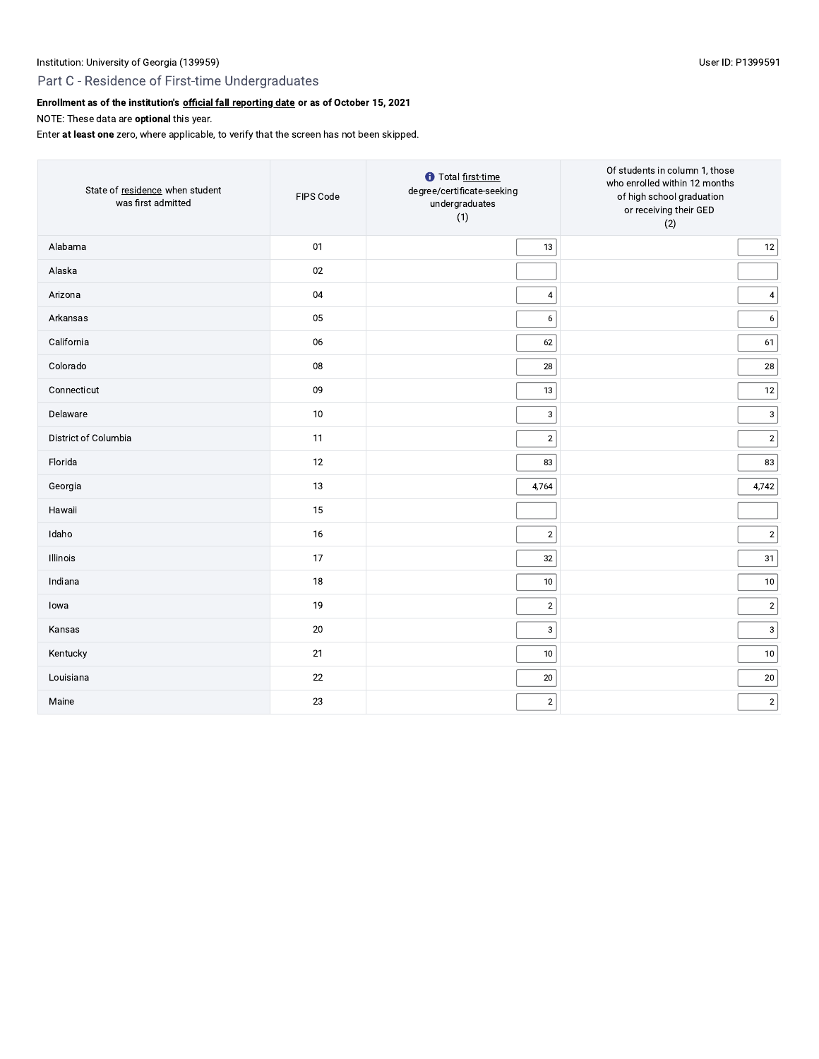# Part C - Residence of First-time Undergraduates

# Enrollment as of the institution's official fall reporting date or as of October 15, 2021

NOTE: These data are optional this year.

Enter at least one zero, where applicable, to verify that the screen has not been skipped.

| State of residence when student<br>was first admitted | FIPS Code | <b>t</b> Total first-time<br>degree/certificate-seeking<br>undergraduates<br>(1) | Of students in column 1, those<br>who enrolled within 12 months<br>of high school graduation<br>or receiving their GED<br>(2) |
|-------------------------------------------------------|-----------|----------------------------------------------------------------------------------|-------------------------------------------------------------------------------------------------------------------------------|
| Alabama                                               | 01        | 13                                                                               | 12                                                                                                                            |
| Alaska                                                | 02        |                                                                                  |                                                                                                                               |
| Arizona                                               | 04        | $\overline{4}$                                                                   | $\overline{\mathbf{4}}$                                                                                                       |
| Arkansas                                              | 05        | $\boldsymbol{6}$                                                                 | $\boldsymbol{6}$                                                                                                              |
| California                                            | 06        | 62                                                                               | 61                                                                                                                            |
| Colorado                                              | 08        | 28                                                                               | 28                                                                                                                            |
| Connecticut                                           | 09        | 13                                                                               | 12                                                                                                                            |
| Delaware                                              | 10        | $\ensuremath{\mathsf{3}}$                                                        | $\sqrt{3}$                                                                                                                    |
| District of Columbia                                  | 11        | $\overline{2}$                                                                   | $\sqrt{2}$                                                                                                                    |
| Florida                                               | 12        | 83                                                                               | 83                                                                                                                            |
| Georgia                                               | 13        | 4,764                                                                            | 4,742                                                                                                                         |
| Hawaii                                                | 15        |                                                                                  |                                                                                                                               |
| Idaho                                                 | 16        | $\overline{2}$                                                                   | $\sqrt{2}$                                                                                                                    |
| Illinois                                              | 17        | 32                                                                               | 31                                                                                                                            |
| Indiana                                               | 18        | 10                                                                               | 10                                                                                                                            |
| lowa                                                  | 19        | $\sqrt{2}$                                                                       | $\sqrt{2}$                                                                                                                    |
| Kansas                                                | 20        | $\mathbf{3}$                                                                     | 3                                                                                                                             |
| Kentucky                                              | 21        | 10                                                                               | 10                                                                                                                            |
| Louisiana                                             | 22        | 20                                                                               | 20                                                                                                                            |
| Maine                                                 | 23        | $\sqrt{2}$                                                                       | $\sqrt{2}$                                                                                                                    |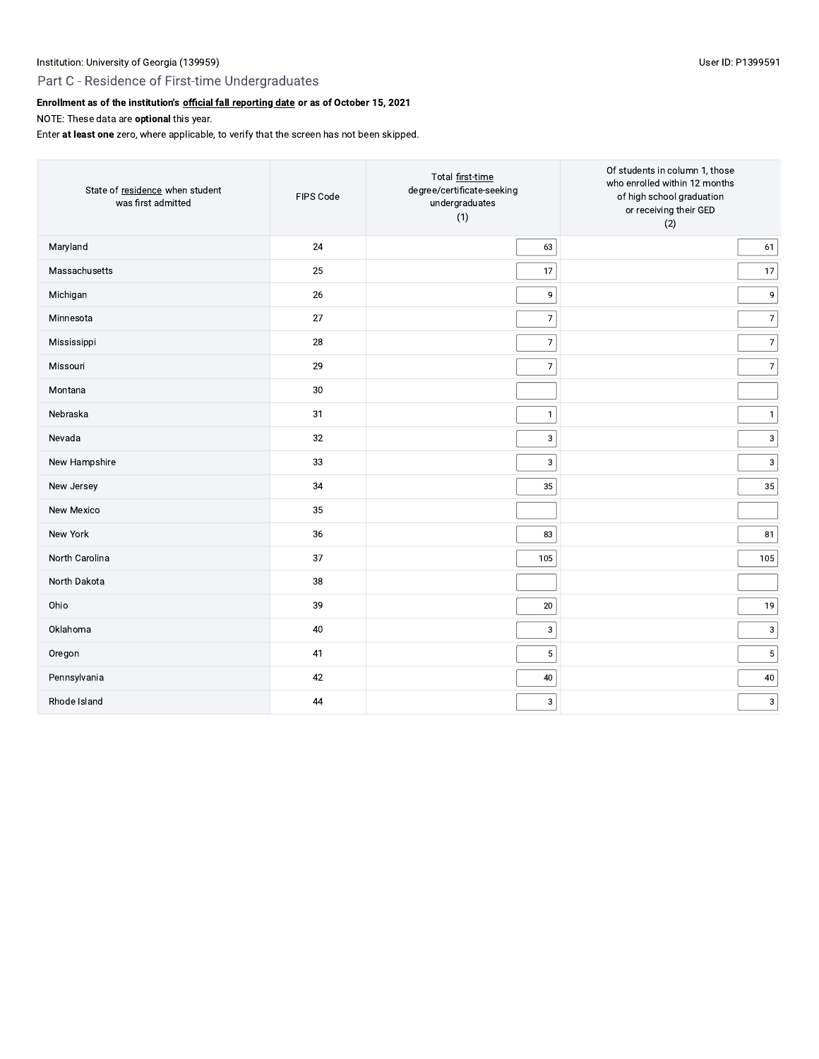# Part C - Residence of First-time Undergraduates

# Enrollment as of the institution's official fall reporting date or as of October 15, 2021

NOTE: These data are optional this year.

Enter at least one zero, where applicable, to verify that the screen has not been skipped.

| State of residence when student<br>was first admitted | FIPS Code | Total first-time<br>degree/certificate-seeking<br>undergraduates<br>(1) | Of students in column 1, those<br>who enrolled within 12 months<br>of high school graduation<br>or receiving their GED<br>(2) |
|-------------------------------------------------------|-----------|-------------------------------------------------------------------------|-------------------------------------------------------------------------------------------------------------------------------|
| Maryland                                              | 24        | 63                                                                      | 61                                                                                                                            |
| Massachusetts                                         | 25        | 17                                                                      | 17                                                                                                                            |
| Michigan                                              | 26        | 9                                                                       | 9                                                                                                                             |
| Minnesota                                             | 27        | $\overline{7}$                                                          | 7                                                                                                                             |
| Mississippi                                           | 28        | $\overline{7}$                                                          | 7                                                                                                                             |
| Missouri                                              | 29        | $\overline{7}$                                                          | 7                                                                                                                             |
| Montana                                               | $30\,$    |                                                                         |                                                                                                                               |
| Nebraska                                              | 31        | $\overline{1}$                                                          | $\vert$ 1                                                                                                                     |
| Nevada                                                | 32        | 3                                                                       | 3                                                                                                                             |
| New Hampshire                                         | 33        | $\mathsf 3$                                                             | 3                                                                                                                             |
| New Jersey                                            | 34        | 35                                                                      | 35                                                                                                                            |
| New Mexico                                            | 35        |                                                                         |                                                                                                                               |
| New York                                              | 36        | 83                                                                      | 81                                                                                                                            |
| North Carolina                                        | 37        | 105                                                                     | 105                                                                                                                           |
| North Dakota                                          | 38        |                                                                         |                                                                                                                               |
| Ohio                                                  | 39        | $20\,$                                                                  | 19                                                                                                                            |
| Oklahoma                                              | 40        | 3                                                                       | 3                                                                                                                             |
| Oregon                                                | 41        | $\sqrt{5}$                                                              | $\sqrt{5}$                                                                                                                    |
| Pennsylvania                                          | 42        | 40                                                                      | 40                                                                                                                            |
| Rhode Island                                          | $44\,$    | $_{\rm 3}$                                                              | 3                                                                                                                             |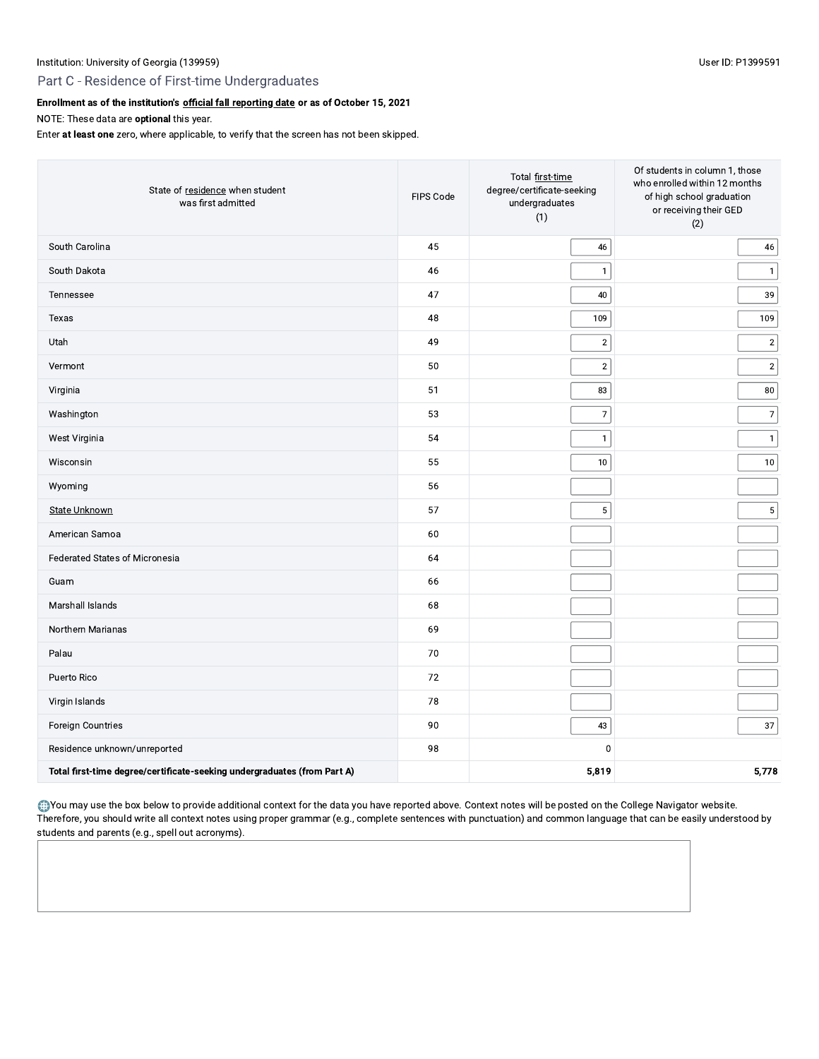# Part C - Residence of First-time Undergraduates

## Enrollment as of the institution's official fall reporting date or as of October 15, 2021

NOTE: These data are optional this year.

Enter at least one zero, where applicable, to verify that the screen has not been skipped.

| State of residence when student<br>was first admitted                    | FIPS Code | Total first-time<br>degree/certificate-seeking<br>undergraduates<br>(1) | Of students in column 1, those<br>who enrolled within 12 months<br>of high school graduation<br>or receiving their GED<br>(2) |
|--------------------------------------------------------------------------|-----------|-------------------------------------------------------------------------|-------------------------------------------------------------------------------------------------------------------------------|
| South Carolina                                                           | 45        | $46\,$                                                                  | 46                                                                                                                            |
| South Dakota                                                             | 46        | $\mathbf{1}$                                                            | $\mathbf{1}$                                                                                                                  |
| Tennessee                                                                | 47        | $40\,$                                                                  | 39                                                                                                                            |
| Texas                                                                    | 48        | 109                                                                     | 109                                                                                                                           |
| Utah                                                                     | 49        | $\mathbf 2$                                                             | $\sqrt{2}$                                                                                                                    |
| Vermont                                                                  | 50        | $\sqrt{2}$                                                              | $\sqrt{2}$                                                                                                                    |
| Virginia                                                                 | 51        | 83                                                                      | 80                                                                                                                            |
| Washington                                                               | 53        | 7                                                                       | $\overline{7}$                                                                                                                |
| West Virginia                                                            | 54        | $\mathbf{1}$                                                            | $\mathbf{1}$                                                                                                                  |
| Wisconsin                                                                | 55        | $10\,$                                                                  | 10                                                                                                                            |
| Wyoming                                                                  | 56        |                                                                         |                                                                                                                               |
| <b>State Unknown</b>                                                     | 57        | $\mathbf 5$                                                             | $\sqrt{5}$                                                                                                                    |
| American Samoa                                                           | 60        |                                                                         |                                                                                                                               |
| <b>Federated States of Micronesia</b>                                    | 64        |                                                                         |                                                                                                                               |
| Guam                                                                     | 66        |                                                                         |                                                                                                                               |
| Marshall Islands                                                         | 68        |                                                                         |                                                                                                                               |
| Northern Marianas                                                        | 69        |                                                                         |                                                                                                                               |
| Palau                                                                    | 70        |                                                                         |                                                                                                                               |
| Puerto Rico                                                              | 72        |                                                                         |                                                                                                                               |
| Virgin Islands                                                           | 78        |                                                                         |                                                                                                                               |
| Foreign Countries                                                        | 90        | $43\,$                                                                  | 37                                                                                                                            |
| Residence unknown/unreported                                             | 98        | $\mathbf 0$                                                             |                                                                                                                               |
| Total first-time degree/certificate-seeking undergraduates (from Part A) |           | 5,819                                                                   | 5,778                                                                                                                         |

. You may use the box below to provide additional context for the data you have reported above. Context notes will be posted on the College Navigator website. Therefore, you should write all context notes using proper grammar (e.g., complete sentences with punctuation) and common language that can be easily understood by students and parents (e.g., spell out acronyms).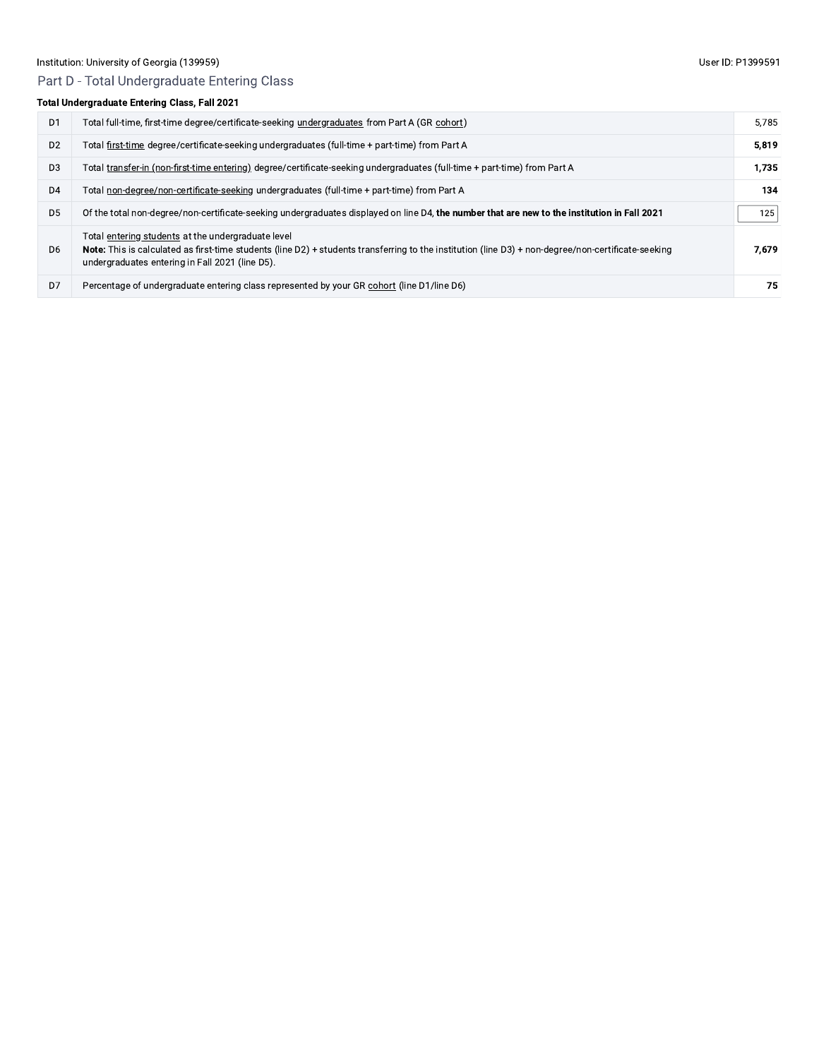# Part D - Total Undergraduate Entering Class

# Total Undergraduate Entering Class, Fall 2021

| D <sub>1</sub> | Total full-time, first-time degree/certificate-seeking undergraduates from Part A (GR cohort)                                                                                                                                                                | 5.785 |
|----------------|--------------------------------------------------------------------------------------------------------------------------------------------------------------------------------------------------------------------------------------------------------------|-------|
| D <sub>2</sub> | Total first-time degree/certificate-seeking undergraduates (full-time + part-time) from Part A                                                                                                                                                               | 5.819 |
| D <sub>3</sub> | Total transfer-in (non-first-time entering) degree/certificate-seeking undergraduates (full-time + part-time) from Part A                                                                                                                                    | 1.735 |
| D <sub>4</sub> | Total non-degree/non-certificate-seeking undergraduates (full-time + part-time) from Part A                                                                                                                                                                  | 134   |
| D <sub>5</sub> | Of the total non-degree/non-certificate-seeking undergraduates displayed on line D4, the number that are new to the institution in Fall 2021                                                                                                                 | 125   |
| D <sub>6</sub> | Total entering students at the undergraduate level<br>Note: This is calculated as first-time students (line D2) + students transferring to the institution (line D3) + non-degree/non-certificate-seeking<br>undergraduates entering in Fall 2021 (line D5). | 7.679 |
| D7             | Percentage of undergraduate entering class represented by your GR cohort (line D1/line D6)                                                                                                                                                                   | 75    |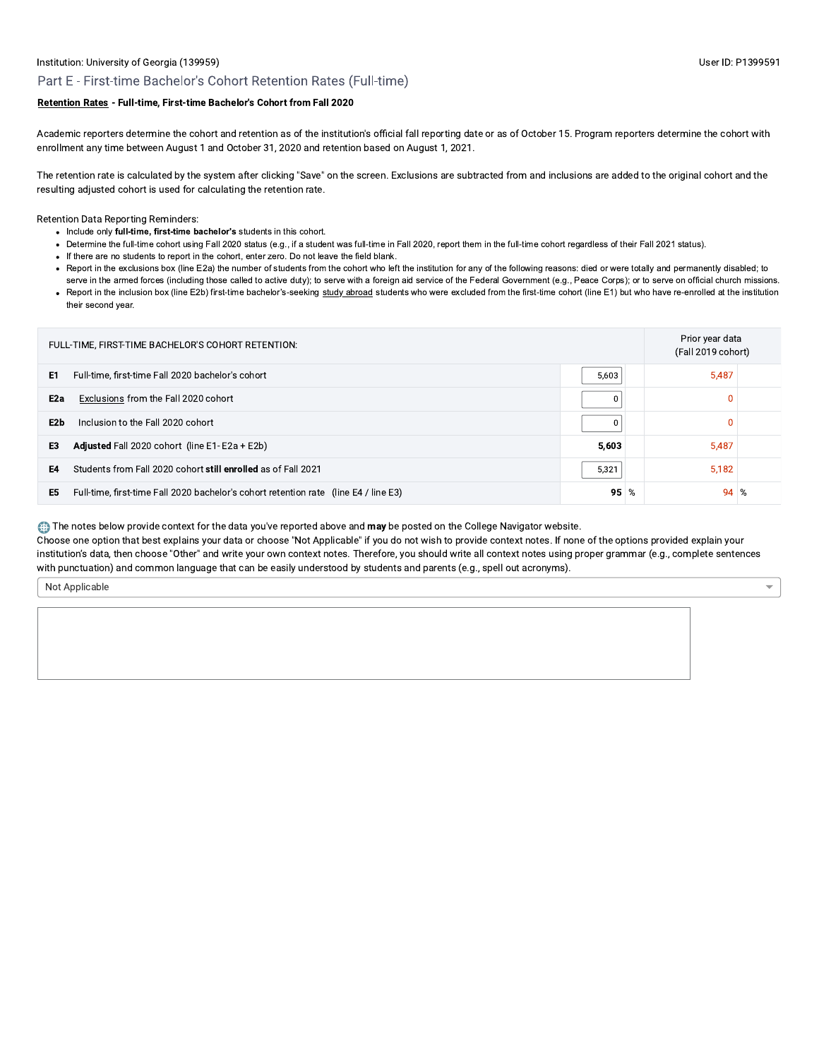$\overline{\mathbf{v}}$ 

## Part E - First-time Bachelor's Cohort Retention Rates (Full-time)

## Retention Rates - Full-time, First-time Bachelor's Cohort from Fall 2020

Academic reporters determine the cohort and retention as of the institution's official fall reporting date or as of October 15. Program reporters determine the cohort with enrollment any time between August 1 and October 31, 2020 and retention based on August 1, 2021.

The retention rate is calculated by the system after clicking "Save" on the screen. Exclusions are subtracted from and inclusions are added to the original cohort and the resulting adjusted cohort is used for calculating the retention rate.

**Retention Data Reporting Reminders:** 

- Include only full-time, first-time bachelor's students in this cohort.
- Determine the full-time cohort using Fall 2020 status (e.g., if a student was full-time in Fall 2020, report them in the full-time cohort regardless of their Fall 2021 status).
- If there are no students to report in the cohort, enter zero. Do not leave the field blank.
- Report in the exclusions box (line E2a) the number of students from the cohort who left the institution for any of the following reasons: died or were totally and permanently disabled; to
- serve in the armed forces (including those called to active duty); to serve with a foreign aid service of the Federal Government (e.g., Peace Corps); or to serve on official church missions. • Report in the inclusion box (line E2b) first-time bachelor's-seeking study abroad students who were excluded from the first-time cohort (line E1) but who have re-enrolled at the institution their second year.

| FULL-TIME, FIRST-TIME BACHELOR'S COHORT RETENTION: |                                                                                      |        |  |          | Prior year data<br>(Fall 2019 cohort) |
|----------------------------------------------------|--------------------------------------------------------------------------------------|--------|--|----------|---------------------------------------|
| E1                                                 | Full-time, first-time Fall 2020 bachelor's cohort                                    | 5,603  |  | 5,487    |                                       |
| E2a                                                | Exclusions from the Fall 2020 cohort                                                 | 0      |  | O        |                                       |
| E2b                                                | Inclusion to the Fall 2020 cohort                                                    | 0      |  | $\Omega$ |                                       |
| E3                                                 | Adjusted Fall 2020 cohort (line E1-E2a + E2b)                                        | 5.603  |  | 5,487    |                                       |
| E4                                                 | Students from Fall 2020 cohort still enrolled as of Fall 2021                        | 5,321  |  | 5,182    |                                       |
| E5                                                 | Full-time, first-time Fall 2020 bachelor's cohort retention rate (line E4 / line E3) | $95\%$ |  | 94       | %                                     |

The notes below provide context for the data you've reported above and may be posted on the College Navigator website.

Choose one option that best explains your data or choose "Not Applicable" if you do not wish to provide context notes. If none of the options provided explain your institution's data, then choose "Other" and write your own context notes. Therefore, you should write all context notes using proper grammar (e.g., complete sentences with punctuation) and common language that can be easily understood by students and parents (e.g., spell out acronyms).

Not Applicable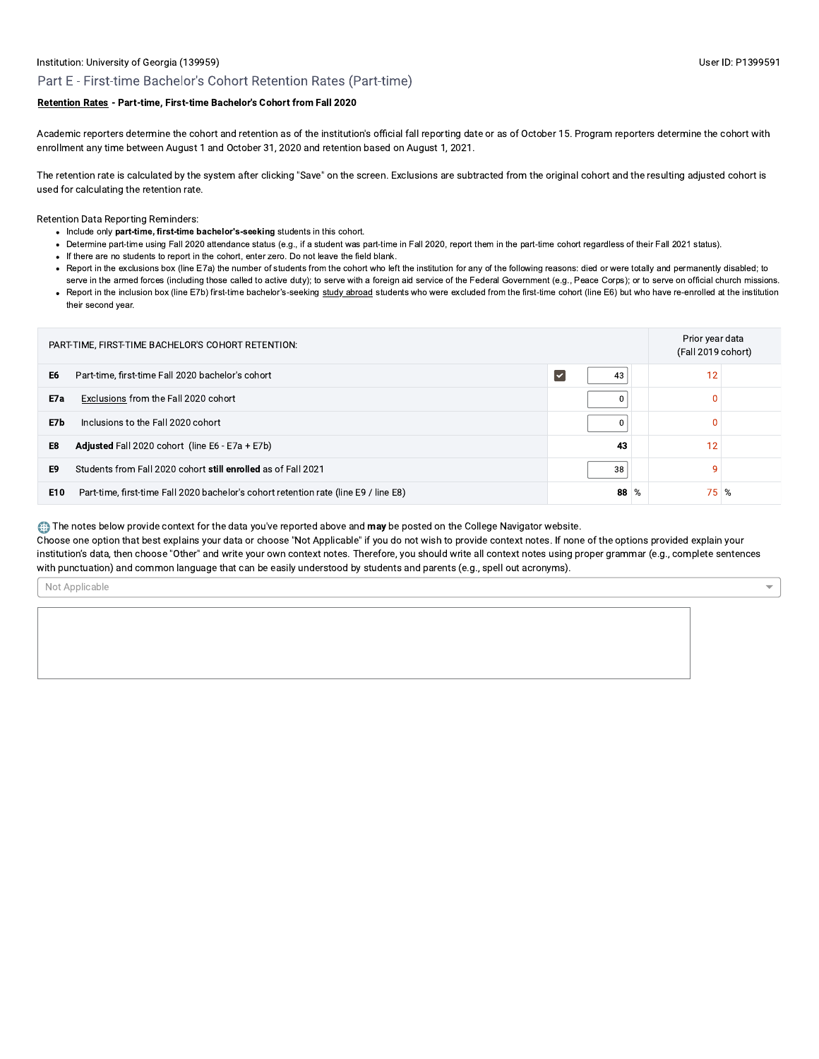#### User ID: P1399591

 $\overline{\mathbf{v}}$ 

## Part E - First-time Bachelor's Cohort Retention Rates (Part-time)

## Retention Rates - Part-time, First-time Bachelor's Cohort from Fall 2020

Academic reporters determine the cohort and retention as of the institution's official fall reporting date or as of October 15. Program reporters determine the cohort with enrollment any time between August 1 and October 31, 2020 and retention based on August 1, 2021.

The retention rate is calculated by the system after clicking "Save" on the screen. Exclusions are subtracted from the original cohort and the resulting adjusted cohort is used for calculating the retention rate.

**Retention Data Reporting Reminders:** 

- Include only part-time, first-time bachelor's-seeking students in this cohort.
- Determine part-time using Fall 2020 attendance status (e.g., if a student was part-time in Fall 2020, report them in the part-time cohort regardless of their Fall 2021 status).
- If there are no students to report in the cohort, enter zero. Do not leave the field blank.
- Report in the exclusions box (line E7a) the number of students from the cohort who left the institution for any of the following reasons: died or were totally and permanently disabled; to
- serve in the armed forces (including those called to active duty); to serve with a foreign aid service of the Federal Government (e.g., Peace Corps); or to serve on official church missions. • Report in the inclusion box (line E7b) first-time bachelor's-seeking study abroad students who were excluded from the first-time cohort (line E6) but who have re-enrolled at the institution their second year.

| PART-TIME, FIRST-TIME BACHELOR'S COHORT RETENTION: |                                                                                      |                            |  |      | Prior year data<br>(Fall 2019 cohort) |  |
|----------------------------------------------------|--------------------------------------------------------------------------------------|----------------------------|--|------|---------------------------------------|--|
| E6                                                 | Part-time, first-time Fall 2020 bachelor's cohort                                    | 43<br>$\blacktriangledown$ |  | 12   |                                       |  |
| E7a                                                | Exclusions from the Fall 2020 cohort                                                 |                            |  | 0    |                                       |  |
| E7b                                                | Inclusions to the Fall 2020 cohort                                                   |                            |  | 0    |                                       |  |
| E8                                                 | <b>Adjusted</b> Fall 2020 cohort (line E6 - E7a + E7b)                               | 43                         |  | 12   |                                       |  |
| E9                                                 | Students from Fall 2020 cohort still enrolled as of Fall 2021                        | 38                         |  | Ω    |                                       |  |
| E10                                                | Part-time, first-time Fall 2020 bachelor's cohort retention rate (line E9 / line E8) | $88\%$                     |  | 75 % |                                       |  |

The notes below provide context for the data you've reported above and may be posted on the College Navigator website.

Choose one option that best explains your data or choose "Not Applicable" if you do not wish to provide context notes. If none of the options provided explain your institution's data, then choose "Other" and write your own context notes. Therefore, you should write all context notes using proper grammar (e.g., complete sentences with punctuation) and common language that can be easily understood by students and parents (e.g., spell out acronyms).

Not Applicable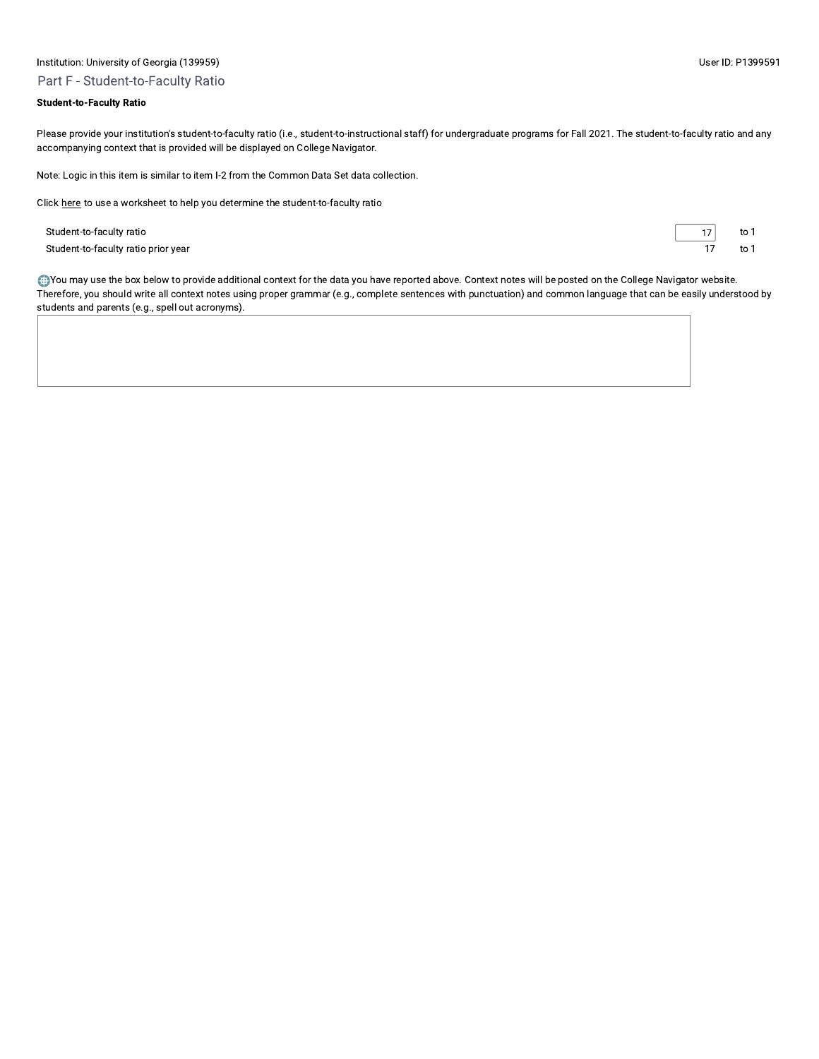# Institution: University of Georgia (139959) Part F - Student-to-Faculty Ratio

Please provide your institution's student-to-faculty ratio (i.e., student-to-instructional staff) for undergraduate programs for Fall 2021. The student-to-faculty ratio and any accompanying context that is provided will be displayed on College Navigator.

Note: Logic in this item is similar to item I-2 from the Common Data Set data collection.

Click here to use a worksheet to help you determine the student-to-faculty ratio

Student-to-faculty ratio Student-to-faculty ratio prior year  $17\,$ to 1  $\overline{17}$ to 1

You may use the box below to provide additional context for the data you have reported above. Context notes will be posted on the College Navigator website. Therefore, you should write all context notes using proper grammar (e.g., complete sentences with punctuation) and common language that can be easily understood by students and parents (e.g., spell out acronyms).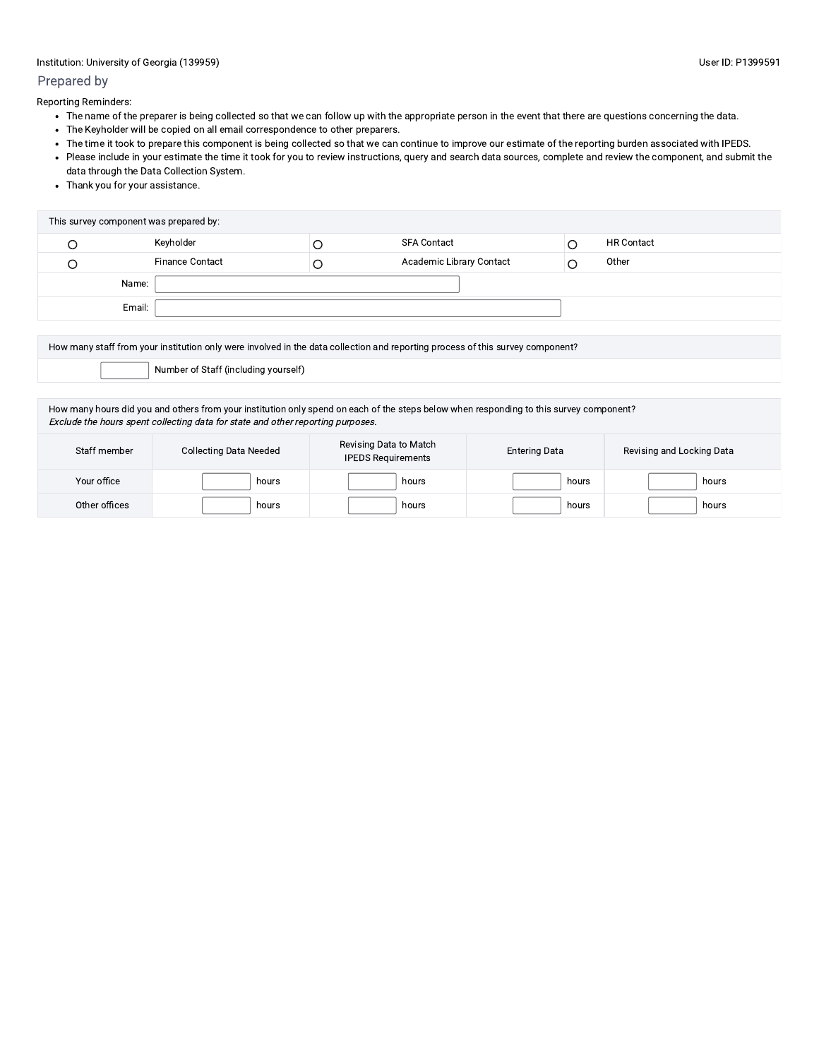## Prepared by

Reporting Reminders:

- The name of the preparer is being collected so that we can follow up with the appropriate person in the event that there are questions concerning the data.
- The Keyholder will be copied on all email correspondence to other preparers.
- The time it took to prepare this component is being collected so that we can continue to improve our estimate of the reporting burden associated with IPEDS.
- Please include in your estimate the time it took for you to review instructions, query and search data sources, complete and review the component, and submit the data through the Data Collection System.
- Thank you for your assistance.

| This survey component was prepared by: |                        |  |                          |  |                   |  |
|----------------------------------------|------------------------|--|--------------------------|--|-------------------|--|
|                                        | Keyholder              |  | <b>SFA Contact</b>       |  | <b>HR Contact</b> |  |
|                                        | <b>Finance Contact</b> |  | Academic Library Contact |  | Other             |  |
|                                        | Name:                  |  |                          |  |                   |  |
|                                        | Email:                 |  |                          |  |                   |  |

How many staff from your institution only were involved in the data collection and reporting process of this survey component?

Number of Staff (including yourself)

How many hours did you and others from your institution only spend on each of the steps below when responding to this survey component? Exclude the hours spent collecting data for state and other reporting purposes.

| Staff member  | Collecting Data Needed | Revising Data to Match<br><b>IPEDS Requirements</b> | <b>Entering Data</b> | Revising and Locking Data |
|---------------|------------------------|-----------------------------------------------------|----------------------|---------------------------|
| Your office   | hours                  | hours                                               | hours                | hours                     |
| Other offices | hours                  | hours                                               | hours                | hours                     |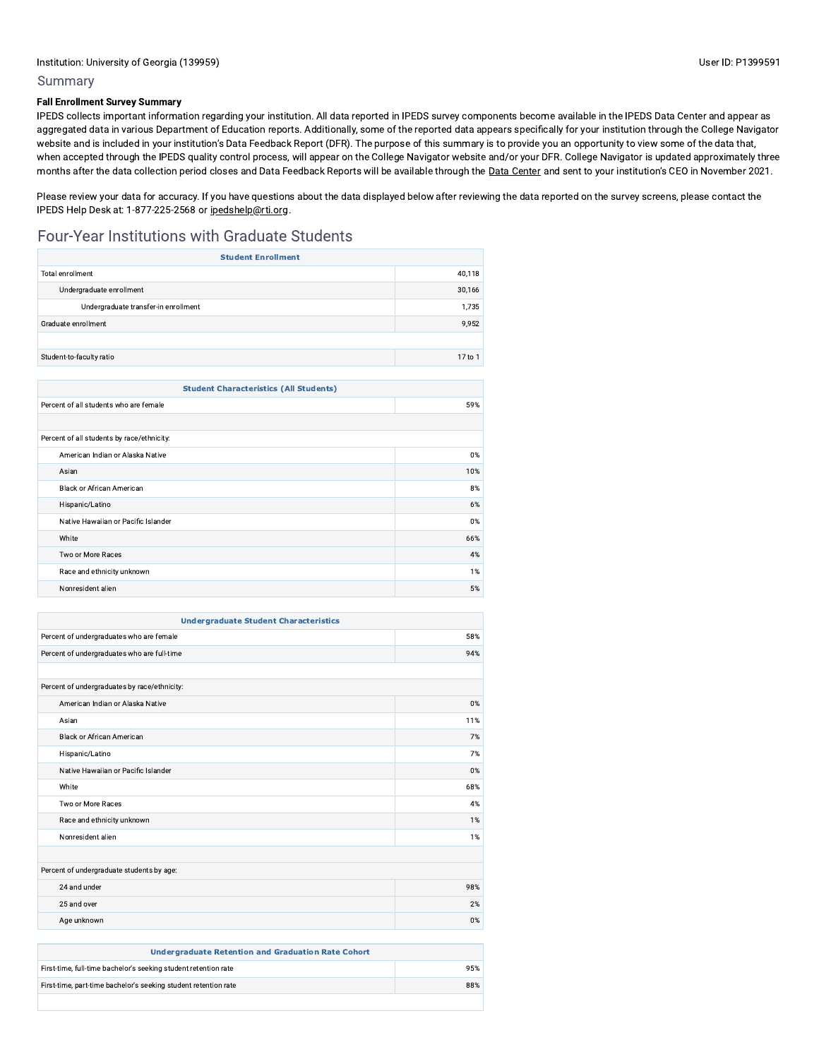## **Fall Enrollment Survey Summary**

IPEDS collects important information regarding your institution. All data reported in IPEDS survey components become available in the IPEDS Data Center and appear as aggregated data in various Department of Education reports. Additionally, some of the reported data appears specifically for your institution through the College Navigator website and is included in your institution's Data Feedback Report (DFR). The purpose of this summary is to provide you an opportunity to view some of the data that, when accepted through the IPEDS quality control process, will appear on the College Navigator website and/or your DFR. College Navigator is updated approximately three months after the data collection period closes and Data Feedback Reports will be available through the Data Center and sent to your institution's CEO in November 2021.

Please review your data for accuracy. If you have questions about the data displayed below after reviewing the data reported on the survey screens, please contact the IPEDS Help Desk at: 1-877-225-2568 or ipedshelp@rti.org.

# Four-Year Institutions with Graduate Students

| <b>Student Enrollment</b>            |         |  |  |
|--------------------------------------|---------|--|--|
| Total enrollment                     | 40.118  |  |  |
| Undergraduate enrollment             | 30,166  |  |  |
| Undergraduate transfer-in enrollment | 1,735   |  |  |
| Graduate enrollment                  | 9.952   |  |  |
|                                      |         |  |  |
| Student-to-faculty ratio             | 17 to 1 |  |  |

| <b>Student Characteristics (All Students)</b> |     |  |  |
|-----------------------------------------------|-----|--|--|
| Percent of all students who are female        | 59% |  |  |
|                                               |     |  |  |
| Percent of all students by race/ethnicity:    |     |  |  |
| American Indian or Alaska Native              | 0%  |  |  |
| Asian                                         | 10% |  |  |
| <b>Black or African American</b>              | 8%  |  |  |
| Hispanic/Latino                               | 6%  |  |  |
| Native Hawaiian or Pacific Islander           | 0%  |  |  |
| White                                         | 66% |  |  |
| Two or More Races                             | 4%  |  |  |
| Race and ethnicity unknown                    | 1%  |  |  |
| Nonresident alien                             | 5%  |  |  |

| <b>Undergraduate Student Characteristics</b> |       |  |  |
|----------------------------------------------|-------|--|--|
| Percent of undergraduates who are female     | 58%   |  |  |
| Percent of undergraduates who are full-time  | 94%   |  |  |
|                                              |       |  |  |
| Percent of undergraduates by race/ethnicity: |       |  |  |
| American Indian or Alaska Native             | $0\%$ |  |  |
| Asian                                        | 11%   |  |  |
| <b>Black or African American</b>             | 7%    |  |  |
| Hispanic/Latino                              | 7%    |  |  |
| Native Hawaiian or Pacific Islander          | 0%    |  |  |
| White                                        | 68%   |  |  |
| Two or More Races                            | 4%    |  |  |
| Race and ethnicity unknown                   | 1%    |  |  |
| Nonresident alien                            | 1%    |  |  |
|                                              |       |  |  |
| Percent of undergraduate students by age:    |       |  |  |
| 24 and under                                 | 98%   |  |  |
| 25 and over                                  | 2%    |  |  |
| Age unknown                                  | 0%    |  |  |

| <b>Undergraduate Retention and Graduation Rate Cohort</b>       |     |
|-----------------------------------------------------------------|-----|
| First-time, full-time bachelor's seeking student retention rate | 95% |
| First-time, part-time bachelor's seeking student retention rate | 88% |
|                                                                 |     |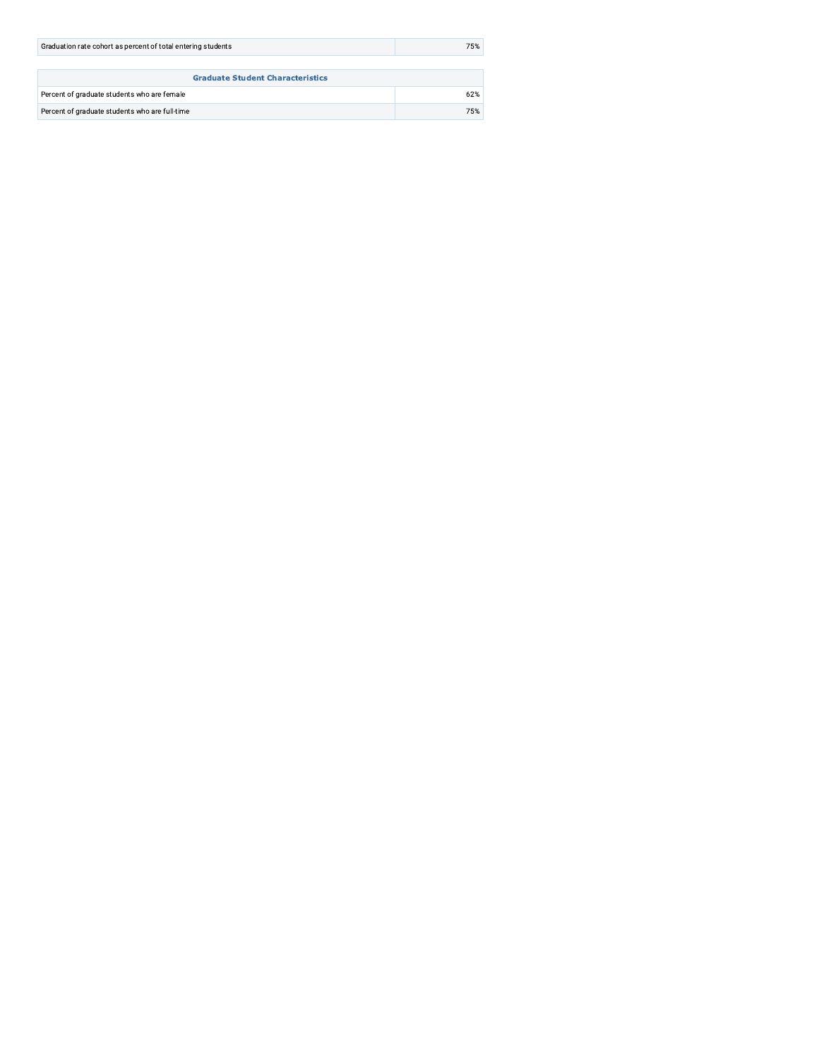| Graduation rate cohort as percent of total entering students | 75% |  |  |  |
|--------------------------------------------------------------|-----|--|--|--|
|                                                              |     |  |  |  |
| <b>Graduate Student Characteristics</b>                      |     |  |  |  |
| Percent of graduate students who are female                  | 62% |  |  |  |
| Percent of graduate students who are full-time               | 75% |  |  |  |